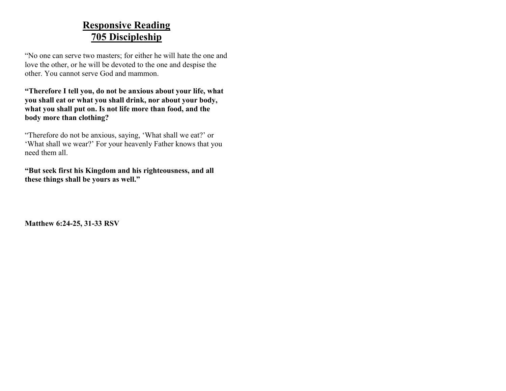### **Responsive Reading 705 Discipleship**

―No one can serve two masters; for either he will hate the one and love the other, or he will be devoted to the one and despise the other. You cannot serve God and mammon.

**"Therefore I tell you, do not be anxious about your life, what you shall eat or what you shall drink, nor about your body, what you shall put on. Is not life more than food, and the body more than clothing?**

―Therefore do not be anxious, saying, 'What shall we eat?' or 'What shall we wear?' For your heavenly Father knows that you need them all.

**"But seek first his Kingdom and his righteousness, and all these things shall be yours as well."**

**Matthew 6:24-25, 31-33 RSV**